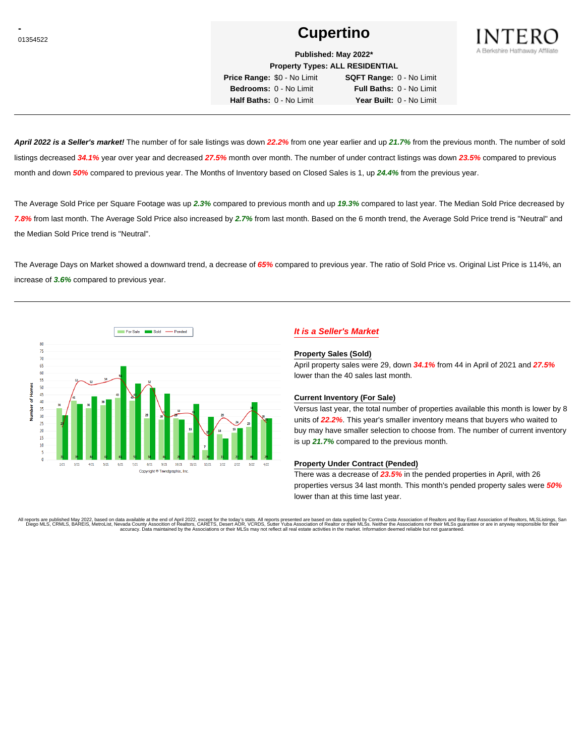# **Cupertino Cupertino**



**Published: May 2022\***

**Property Types: ALL RESIDENTIAL Price Range:** \$0 - No Limit **SQFT Range:** 0 - No Limit

**Bedrooms:** 0 - No Limit **Full Baths:** 0 - No Limit **Half Baths:** 0 - No Limit **Year Built:** 0 - No Limit

**April 2022 is a Seller's market!** The number of for sale listings was down **22.2%** from one year earlier and up **21.7%** from the previous month. The number of sold listings decreased **34.1%** year over year and decreased **27.5%** month over month. The number of under contract listings was down **23.5%** compared to previous month and down **50%** compared to previous year. The Months of Inventory based on Closed Sales is 1, up **24.4%** from the previous year.

The Average Sold Price per Square Footage was up **2.3%** compared to previous month and up **19.3%** compared to last year. The Median Sold Price decreased by **7.8%** from last month. The Average Sold Price also increased by **2.7%** from last month. Based on the 6 month trend, the Average Sold Price trend is "Neutral" and the Median Sold Price trend is "Neutral".

The Average Days on Market showed a downward trend, a decrease of **65%** compared to previous year. The ratio of Sold Price vs. Original List Price is 114%, an increase of **3.6%** compared to previous year.



## **It is a Seller's Market**

#### **Property Sales (Sold)**

April property sales were 29, down **34.1%** from 44 in April of 2021 and **27.5%** lower than the 40 sales last month.

#### **Current Inventory (For Sale)**

Versus last year, the total number of properties available this month is lower by 8 units of **22.2%**. This year's smaller inventory means that buyers who waited to buy may have smaller selection to choose from. The number of current inventory is up **21.7%** compared to the previous month.

#### **Property Under Contract (Pended)**

There was a decrease of **23.5%** in the pended properties in April, with 26 properties versus 34 last month. This month's pended property sales were **50%** lower than at this time last year.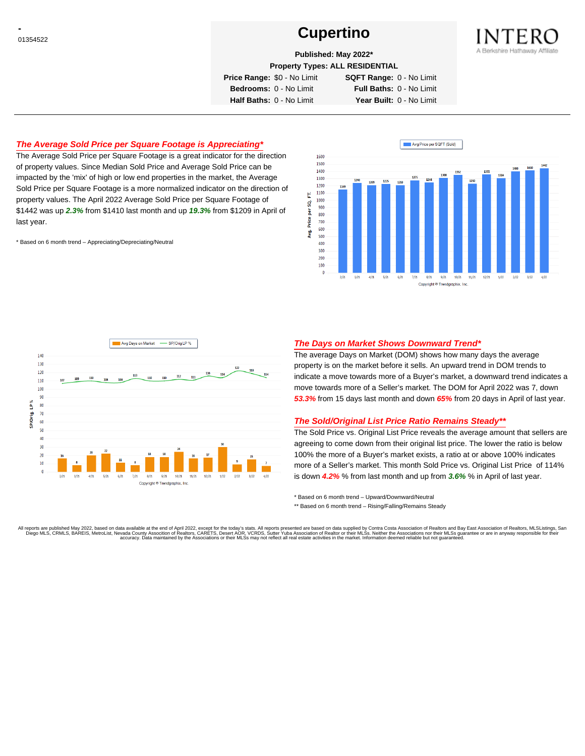# **Cupertino Cupertino**



**Published: May 2022\***

**Property Types: ALL RESIDENTIAL**

**Price Range:** \$0 - No Limit **SQFT Range:** 0 - No Limit

**Bedrooms:** 0 - No Limit **Full Baths:** 0 - No Limit **Half Baths:** 0 - No Limit **Year Built:** 0 - No Limit

#### **The Average Sold Price per Square Footage is Appreciating\***

The Average Sold Price per Square Footage is a great indicator for the direction of property values. Since Median Sold Price and Average Sold Price can be impacted by the 'mix' of high or low end properties in the market, the Average Sold Price per Square Footage is a more normalized indicator on the direction of property values. The April 2022 Average Sold Price per Square Footage of \$1442 was up **2.3%** from \$1410 last month and up **19.3%** from \$1209 in April of last year.

\* Based on 6 month trend – Appreciating/Depreciating/Neutral





#### **The Days on Market Shows Downward Trend\***

The average Days on Market (DOM) shows how many days the average property is on the market before it sells. An upward trend in DOM trends to indicate a move towards more of a Buyer's market, a downward trend indicates a move towards more of a Seller's market. The DOM for April 2022 was 7, down **53.3%** from 15 days last month and down **65%** from 20 days in April of last year.

#### **The Sold/Original List Price Ratio Remains Steady\*\***

The Sold Price vs. Original List Price reveals the average amount that sellers are agreeing to come down from their original list price. The lower the ratio is below 100% the more of a Buyer's market exists, a ratio at or above 100% indicates more of a Seller's market. This month Sold Price vs. Original List Price of 114% is down **4.2%** % from last month and up from **3.6%** % in April of last year.

\* Based on 6 month trend – Upward/Downward/Neutral

\*\* Based on 6 month trend - Rising/Falling/Remains Steady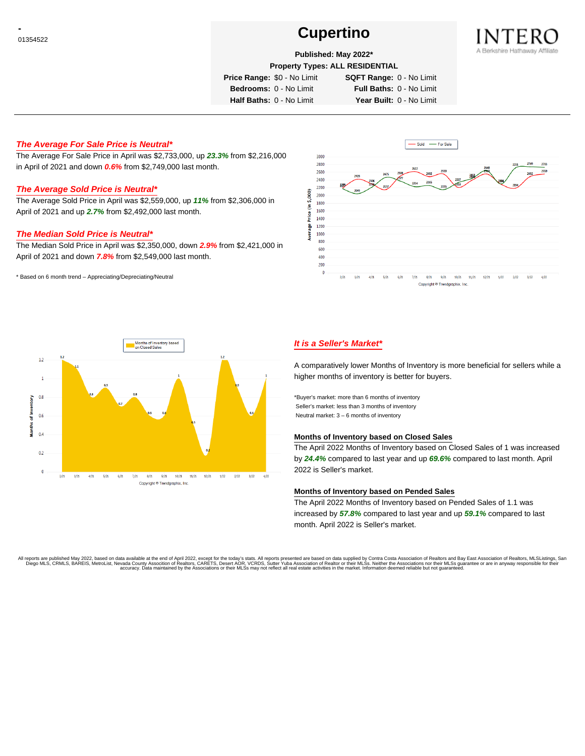# **Cupertino Cupertino**



## **Published: May 2022\***

**Property Types: ALL RESIDENTIAL**

**Price Range:** \$0 - No Limit **SQFT Range:** 0 - No Limit

**Bedrooms:** 0 - No Limit **Full Baths:** 0 - No Limit **Half Baths:** 0 - No Limit **Year Built:** 0 - No Limit

#### **The Average For Sale Price is Neutral\***

The Average For Sale Price in April was \$2,733,000, up **23.3%** from \$2,216,000 in April of 2021 and down **0.6%** from \$2,749,000 last month.

#### **The Average Sold Price is Neutral\***

The Average Sold Price in April was \$2,559,000, up **11%** from \$2,306,000 in April of 2021 and up **2.7%** from \$2,492,000 last month.

#### **The Median Sold Price is Neutral\***

The Median Sold Price in April was \$2,350,000, down **2.9%** from \$2,421,000 in April of 2021 and down **7.8%** from \$2,549,000 last month.

\* Based on 6 month trend – Appreciating/Depreciating/Neutral





## **It is a Seller's Market\***

A comparatively lower Months of Inventory is more beneficial for sellers while a higher months of inventory is better for buyers.

\*Buyer's market: more than 6 months of inventory Seller's market: less than 3 months of inventory Neutral market: 3 – 6 months of inventory

#### **Months of Inventory based on Closed Sales**

The April 2022 Months of Inventory based on Closed Sales of 1 was increased by **24.4%** compared to last year and up **69.6%** compared to last month. April 2022 is Seller's market.

#### **Months of Inventory based on Pended Sales**

The April 2022 Months of Inventory based on Pended Sales of 1.1 was increased by **57.8%** compared to last year and up **59.1%** compared to last month. April 2022 is Seller's market.